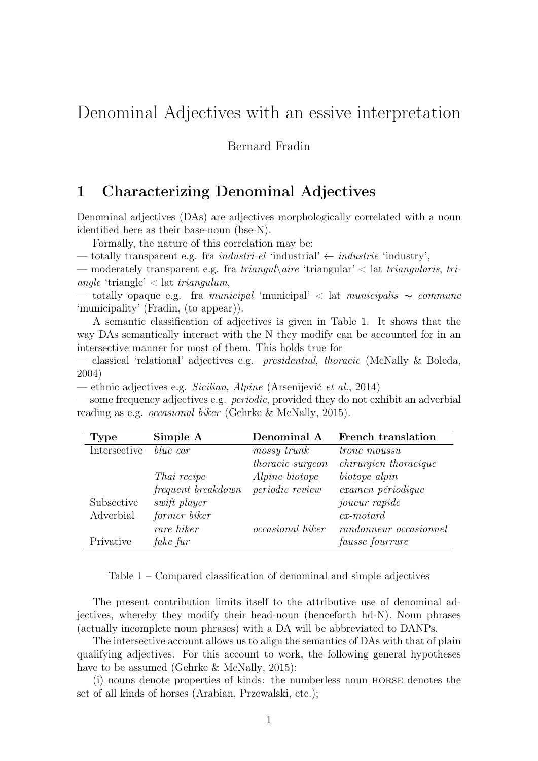# Denominal Adjectives with an essive interpretation

Bernard Fradin

### 1 Characterizing Denominal Adjectives

Denominal adjectives (DAs) are adjectives morphologically correlated with a noun identified here as their base-noun (bse-N).

Formally, the nature of this correlation may be:

— totally transparent e.g. fra *industri-el* 'industrial'  $\leftarrow$  *industrie* 'industry',

— moderately transparent e.g. fra triangul $\langle aire'$ triangular'  $\langle aire'$  triangularis, triangle 'triangle'  $\langle$  lat triangulum,

— totally opaque e.g. fra municipal 'municipal' < lat municipalis ∼ commune 'municipality' (Fradin, (to appear)).

A semantic classification of adjectives is given in Table 1. It shows that the way DAs semantically interact with the N they modify can be accounted for in an intersective manner for most of them. This holds true for

— classical 'relational' adjectives e.g. presidential, thoracic (McNally & Boleda, 2004)

— ethnic adjectives e.g. Sicilian, Alpine (Arsenijević et al., 2014)

— some frequency adjectives e.g. periodic, provided they do not exhibit an adverbial reading as e.g. occasional biker (Gehrke & McNally, 2015).

| Type         | Simple A           | Denominal A             | French translation           |
|--------------|--------------------|-------------------------|------------------------------|
| Intersective | blue car           | mossy trunk             | tronc moussu                 |
|              |                    | thoracic surgeon        | <i>chirurgien thoracique</i> |
|              | Thai recipe        | Alpine biotope          | biotope alpin                |
|              | frequent breakdown | <i>periodic review</i>  | examen périodique            |
| Subsective   | swift player       |                         | <i>joueur</i> rapide         |
| Adverbial    | former biker       |                         | $ex$ -motard                 |
|              | rare hiker         | <i>occasional</i> hiker | randonneur occasionnel       |
| Privative    | fake fur           |                         | <i>fausse fourrure</i>       |

Table 1 – Compared classification of denominal and simple adjectives

The present contribution limits itself to the attributive use of denominal adjectives, whereby they modify their head-noun (henceforth hd-N). Noun phrases (actually incomplete noun phrases) with a DA will be abbreviated to DANPs.

The intersective account allows us to align the semantics of DAs with that of plain qualifying adjectives. For this account to work, the following general hypotheses have to be assumed (Gehrke & McNally, 2015):

(i) nouns denote properties of kinds: the numberless noun horse denotes the set of all kinds of horses (Arabian, Przewalski, etc.);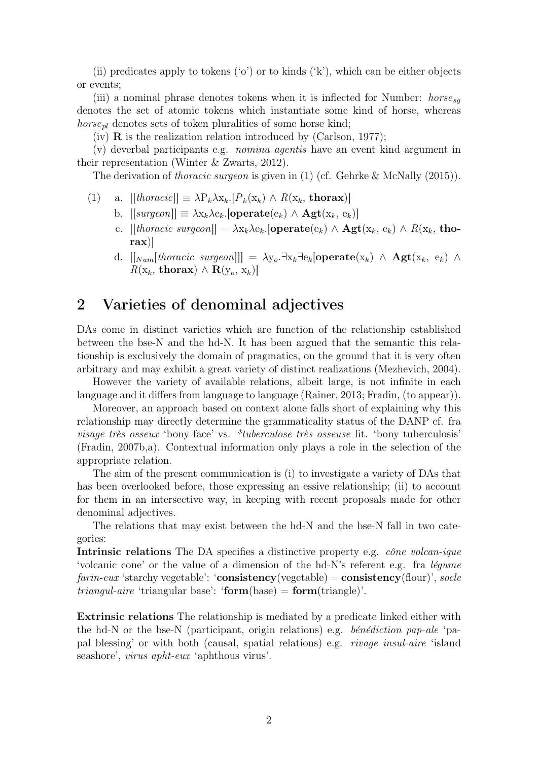(ii) predicates apply to tokens ( $\check{\circ}$ ) or to kinds ( $\check{\kappa}$ ), which can be either objects or events;

(iii) a nominal phrase denotes tokens when it is inflected for Number:  $horse_{sa}$ denotes the set of atomic tokens which instantiate some kind of horse, whereas *horse<sub>pl</sub>* denotes sets of token pluralities of some horse kind;

 $(iv)$  **R** is the realization relation introduced by (Carlson, 1977);

(v) deverbal participants e.g. nomina agentis have an event kind argument in their representation (Winter & Zwarts, 2012).

The derivation of *thoracic surgeon* is given in (1) (cf. Gehrke & McNally (2015)).

- (1) a.  $[|thonacic]| \equiv \lambda P_k \lambda x_k$ . $[P_k(x_k) \wedge R(x_k, \mathbf{thorax})]$ 
	- b.  $[[surgeon]] \equiv \lambda x_k \lambda e_k$ . [operate $(e_k) \wedge \mathbf{Agt}(x_k, e_k)$ ]
	- c.  $[[thoracic\,\,surgeon]] = \lambda x_k \lambda e_k$ . [operate $(e_k) \wedge \mathbf{Agt}(x_k, e_k) \wedge R(x_k, \mathbf{tho}$ rax)]
	- d.  $[[\textit{Num}[thoracic\,\,\textit{surgeon}]]] = \lambda y_o \cdot \exists x_k \exists e_k [\textbf{operate}(x_k) \land \textbf{Agt}(x_k, e_k) \land \textbf{Bgt}(x_k)]$  $R(\mathbf{x}_k, \textbf{thorax}) \wedge \mathbf{R}(\mathbf{y}_o, \mathbf{x}_k)$

### 2 Varieties of denominal adjectives

DAs come in distinct varieties which are function of the relationship established between the bse-N and the hd-N. It has been argued that the semantic this relationship is exclusively the domain of pragmatics, on the ground that it is very often arbitrary and may exhibit a great variety of distinct realizations (Mezhevich, 2004).

However the variety of available relations, albeit large, is not infinite in each language and it differs from language to language (Rainer, 2013; Fradin, (to appear)).

Moreover, an approach based on context alone falls short of explaining why this relationship may directly determine the grammaticality status of the DANP cf. fra visage très osseux 'bony face' vs. \*tuberculose très osseuse lit. 'bony tuberculosis' (Fradin, 2007b,a). Contextual information only plays a role in the selection of the appropriate relation.

The aim of the present communication is (i) to investigate a variety of DAs that has been overlooked before, those expressing an essive relationship; (ii) to account for them in an intersective way, in keeping with recent proposals made for other denominal adjectives.

The relations that may exist between the hd-N and the bse-N fall in two categories:

Intrinsic relations The DA specifies a distinctive property e.g. *cône volcan-ique* 'volcanic cone' or the value of a dimension of the hd-N's referent e.g. fra légume  $farn-eux$  'starchy vegetable': 'consistency(vegetable) = consistency(flour)', socle *triangul-aire* 'triangular base': ' $form(base) = form(triangle)'$ .

Extrinsic relations The relationship is mediated by a predicate linked either with the hd-N or the bse-N (participant, origin relations) e.g. bénédiction pap-ale 'papal blessing' or with both (causal, spatial relations) e.g. rivage insul-aire 'island seashore', virus apht-eux 'aphthous virus'.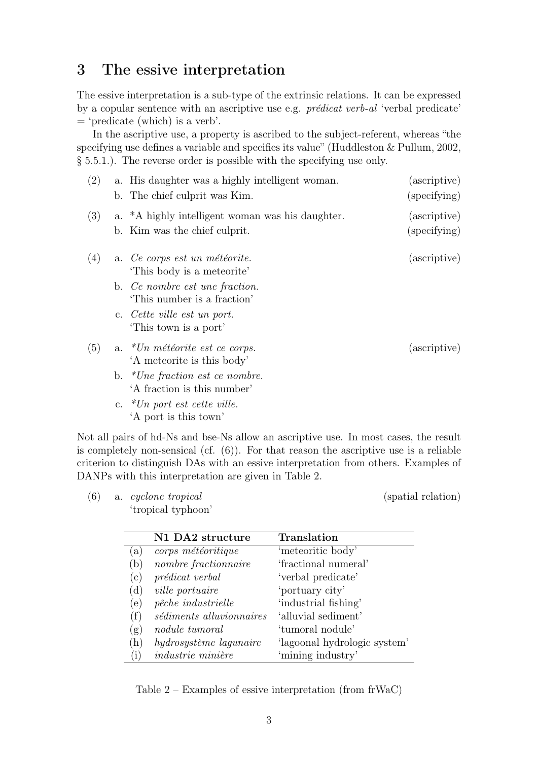# 3 The essive interpretation

The essive interpretation is a sub-type of the extrinsic relations. It can be expressed by a copular sentence with an ascriptive use e.g. prédicat verb-al 'verbal predicate'  $=$  'predicate (which) is a verb'.

In the ascriptive use, a property is ascribed to the subject-referent, whereas "the specifying use defines a variable and specifies its value" (Huddleston & Pullum, 2002, § 5.5.1.). The reverse order is possible with the specifying use only.

| (2) | a. His daughter was a highly intelligent woman.<br>b. The chief culprit was Kim.  | (ascriptive)<br>(specifying) |
|-----|-----------------------------------------------------------------------------------|------------------------------|
| (3) | a. *A highly intelligent woman was his daughter.<br>b. Kim was the chief culprit. | (ascriptive)<br>(specifying) |
| (4) | a. Ce corps est un météorite.<br>This body is a meteorite'                        | (ascriptive)                 |
|     | b. Ce nombre est une fraction.<br>This number is a fraction'                      |                              |
|     | c. Cette ville est un port.<br>This town is a port'                               |                              |
| (5) | a. $*Un$ météorite est ce corps.<br>'A meteorite is this body'                    | (ascriptive)                 |
|     | b. * <i>Une fraction est ce nombre.</i><br>'A fraction is this number'            |                              |
|     | c. $*Un$ port est cette ville.<br>'A port is this town'                           |                              |

Not all pairs of hd-Ns and bse-Ns allow an ascriptive use. In most cases, the result is completely non-sensical (cf. (6)). For that reason the ascriptive use is a reliable criterion to distinguish DAs with an essive interpretation from others. Examples of DANPs with this interpretation are given in Table 2.

(6) a. *cyclone tropical* (spatial relation) 'tropical typhoon'

|     | N1 DA2 structure         | Translation                  |
|-----|--------------------------|------------------------------|
| (a) | corps météoritique       | 'meteoritic body'            |
| (b) | nombre fractionnaire     | 'fractional numeral'         |
| (c) | prédicat verbal          | 'verbal predicate'           |
| (d) | <i>ville portuaire</i>   | 'portuary city'              |
| (e) | pêche industrielle       | 'industrial fishing'         |
| (f) | sédiments alluvionnaires | 'alluvial sediment'          |
| (g) | nodule tumoral           | 'tumoral nodule'             |
| (h) | hydrosystème lagunaire   | 'lagoonal hydrologic system' |
| (i) | <i>industrie minière</i> | 'mining industry'            |
|     |                          |                              |

Table 2 – Examples of essive interpretation (from frWaC)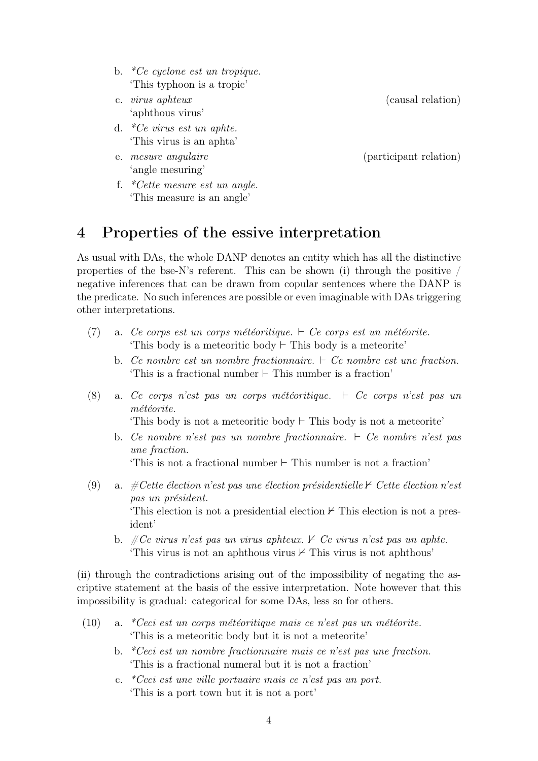- b.  ${}^*Ce$  cyclone est un tropique. 'This typhoon is a tropic'
- c. virus aphteux (causal relation) 'aphthous virus'
- d. \*Ce virus est un aphte. 'This virus is an aphta'
- 'angle mesuring'
- f. \*Cette mesure est un angle. 'This measure is an angle'

e. mesure angulaire (participant relation)

### 4 Properties of the essive interpretation

As usual with DAs, the whole DANP denotes an entity which has all the distinctive properties of the bse-N's referent. This can be shown (i) through the positive  $/$ negative inferences that can be drawn from copular sentences where the DANP is the predicate. No such inferences are possible or even imaginable with DAs triggering other interpretations.

- (7) a. Ce corps est un corps météoritique.  $\vdash$  Ce corps est un météorite. 'This body is a meteoritic body  $\vdash$  This body is a meteorite'
	- b. Ce nombre est un nombre fractionnaire.  $\vdash$  Ce nombre est une fraction. 'This is a fractional number  $\vdash$  This number is a fraction'
- (8) a. Ce corps n'est pas un corps météoritique.  $\vdash$  Ce corps n'est pas un météorite.

'This body is not a meteoritic body  $\vdash$  This body is not a meteorite'

b. Ce nombre n'est pas un nombre fractionnaire.  $\vdash$  Ce nombre n'est pas une fraction.

'This is not a fractional number  $\vdash$  This number is not a fraction'

- (9) a. #Cette élection n'est pas une élection présidentielle  $\forall$  Cette élection n'est pas un président. This election is not a presidential election  $\nvdash$  This election is not a president'
	- b.  $\#Ce$  virus n'est pas un virus aphteux.  $\angle$  Ce virus n'est pas un aphte. 'This virus is not an aphthous virus  $\nvdash$  This virus is not aphthous'

(ii) through the contradictions arising out of the impossibility of negating the ascriptive statement at the basis of the essive interpretation. Note however that this impossibility is gradual: categorical for some DAs, less so for others.

- (10) a. \*Ceci est un corps météoritique mais ce n'est pas un météorite. 'This is a meteoritic body but it is not a meteorite'
	- b. \*Ceci est un nombre fractionnaire mais ce n'est pas une fraction. 'This is a fractional numeral but it is not a fraction'
	- c. \*Ceci est une ville portuaire mais ce n'est pas un port. 'This is a port town but it is not a port'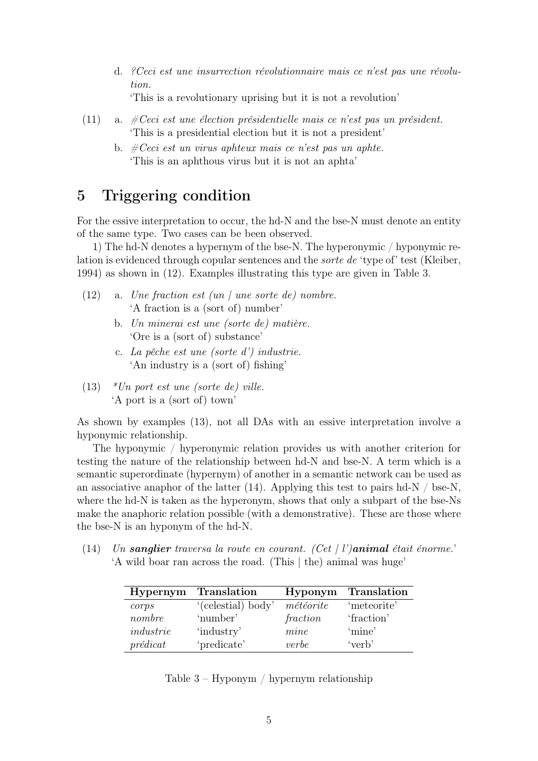- d. ?Ceci est une insurrection révolutionnaire mais ce n'est pas une révolution. 'This is a revolutionary uprising but it is not a revolution'
- (11) a.  $\#Ceci$  est une élection présidentielle mais ce n'est pas un président. 'This is a presidential election but it is not a president'
	- b.  $\#Ceci$  est un virus aphteux mais ce n'est pas un aphte. 'This is an aphthous virus but it is not an aphta'

# 5 Triggering condition

For the essive interpretation to occur, the hd-N and the bse-N must denote an entity of the same type. Two cases can be been observed.

1) The hd-N denotes a hypernym of the bse-N. The hyperonymic / hyponymic relation is evidenced through copular sentences and the sorte de 'type of' test (Kleiber, 1994) as shown in (12). Examples illustrating this type are given in Table 3.

- (12) a. Une fraction est  $(un / une sorte de)$  nombre. 'A fraction is a (sort of) number'
	- b. Un minerai est une (sorte de) matière. 'Ore is a (sort of) substance'
	- c. La pêche est une (sorte d') industrie. 'An industry is a (sort of) fishing'
- (13)  $*Un$  port est une (sorte de) ville. 'A port is a (sort of) town'

As shown by examples (13), not all DAs with an essive interpretation involve a hyponymic relationship.

The hyponymic / hyperonymic relation provides us with another criterion for testing the nature of the relationship between hd-N and bse-N. A term which is a semantic superordinate (hypernym) of another in a semantic network can be used as an associative anaphor of the latter  $(14)$ . Applying this test to pairs hd-N / bse-N, where the hd-N is taken as the hyperonym, shows that only a subpart of the bse-Ns make the anaphoric relation possible (with a demonstrative). These are those where the bse-N is an hyponym of the hd-N.

(14) Un sanglier traversa la route en courant. (Cet | l')animal était énorme. 'A wild boar ran across the road. (This | the) animal was huge'

| Hypernym       | <b>Translation</b> | Hyponym                     | <b>Translation</b> |
|----------------|--------------------|-----------------------------|--------------------|
| corps          | '(celestial) body' | $m\acute{e}t\acute{e}orite$ | 'meteorite'        |
| nombre         | 'number'           | fraction                    | 'fraction'         |
| industrie      | 'industry'         | mine                        | 'mine'             |
| $pr{\'e}dicat$ | 'predicate'        | verbe                       | 'verb'             |

Table 3 – Hyponym / hypernym relationship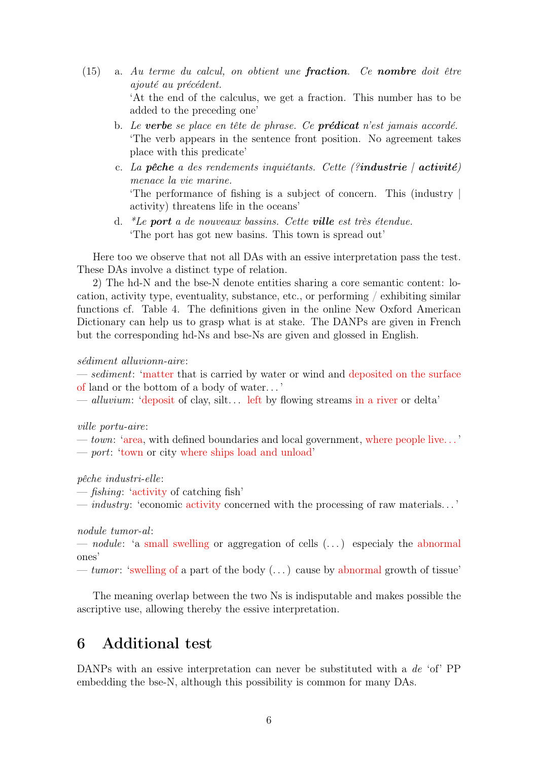- (15) a. Au terme du calcul, on obtient une fraction. Ce nombre doit être ajouté au précédent. 'At the end of the calculus, we get a fraction. This number has to be added to the preceding one'
	- b. Le verbe se place en tête de phrase. Ce **prédicat** n'est jamais accordé. 'The verb appears in the sentence front position. No agreement takes place with this predicate'
	- c. La pêche a des rendements inquiétants. Cette (?industrie  $|$  activité) menace la vie marine. 'The performance of fishing is a subject of concern. This (industry | activity) threatens life in the oceans'
	- d. \*Le port a de nouveaux bassins. Cette ville est très étendue. 'The port has got new basins. This town is spread out'

Here too we observe that not all DAs with an essive interpretation pass the test. These DAs involve a distinct type of relation.

2) The hd-N and the bse-N denote entities sharing a core semantic content: location, activity type, eventuality, substance, etc., or performing / exhibiting similar functions cf. Table 4. The definitions given in the online New Oxford American Dictionary can help us to grasp what is at stake. The DANPs are given in French but the corresponding hd-Ns and bse-Ns are given and glossed in English.

#### sédiment alluvionn-aire:

— *sediment*: 'matter that is carried by water or wind and deposited on the surface of land or the bottom of a body of water. . . '

— alluvium: 'deposit of clay, silt... left by flowing streams in a river or delta'

#### ville portu-aire:

— town: 'area, with defined boundaries and local government, where people live. . . ' — port: 'town or city where ships load and unload'

pêche industri-elle:

— fishing: 'activity of catching fish'

— industry: 'economic activity concerned with the processing of raw materials. . . '

nodule tumor-al:

— nodule: 'a small swelling or aggregation of cells  $(\ldots)$  especialy the abnormal ones'

— tumor: 'swelling of a part of the body  $(\dots)$  cause by abnormal growth of tissue'

The meaning overlap between the two Ns is indisputable and makes possible the ascriptive use, allowing thereby the essive interpretation.

### 6 Additional test

DANPs with an essive interpretation can never be substituted with a de 'of' PP embedding the bse-N, although this possibility is common for many DAs.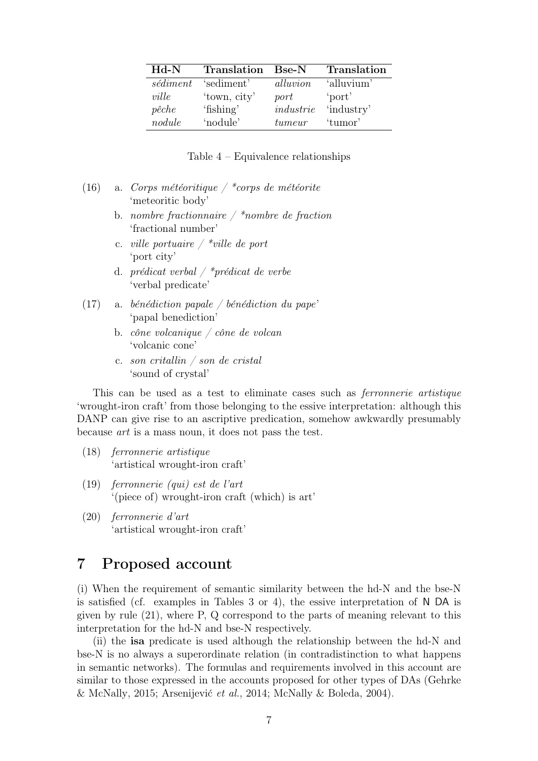| $_{\rm Hd-N}$ | Translation Bse-N |           | Translation |
|---------------|-------------------|-----------|-------------|
| sédiment      | 'sediment'        | alluvion  | 'alluvium'  |
| ville         | 'town, city'      | port      | 'port       |
| $p\hat{e}che$ | 'fishing'         | industrie | 'industry'  |
| nodule        | 'nodule'          | tumeur    | 'tumor'     |

Table 4 – Equivalence relationships

| (16) | a. Corps météoritique / *corps de météorite |  |  |
|------|---------------------------------------------|--|--|
|      | 'meteoritic body'                           |  |  |

- b. nombre fractionnaire  $\frac{1}{2}$  \*nombre de fraction 'fractional number'
- c. *ville portuaire*  $\frac{1}{2}$  \*ville de port 'port city'
- d. *prédicat verbal* /  $*$ *prédicat de verbe* 'verbal predicate'
- (17) a. bénédiction papale / bénédiction du pape' 'papal benediction'
	- b. cône volcanique / cône de volcan 'volcanic cone'
	- c. son critallin / son de cristal 'sound of crystal'

This can be used as a test to eliminate cases such as ferronnerie artistique 'wrought-iron craft' from those belonging to the essive interpretation: although this DANP can give rise to an ascriptive predication, somehow awkwardly presumably because art is a mass noun, it does not pass the test.

- (18) ferronnerie artistique 'artistical wrought-iron craft'
- (19) ferronnerie (qui) est de l'art '(piece of) wrought-iron craft (which) is art'
- (20) ferronnerie d'art 'artistical wrought-iron craft'

# 7 Proposed account

(i) When the requirement of semantic similarity between the hd-N and the bse-N is satisfied (cf. examples in Tables 3 or 4), the essive interpretation of N DA is given by rule (21), where P, Q correspond to the parts of meaning relevant to this interpretation for the hd-N and bse-N respectively.

(ii) the isa predicate is used although the relationship between the hd-N and bse-N is no always a superordinate relation (in contradistinction to what happens in semantic networks). The formulas and requirements involved in this account are similar to those expressed in the accounts proposed for other types of DAs (Gehrke & McNally, 2015; Arsenijević et al., 2014; McNally & Boleda, 2004).